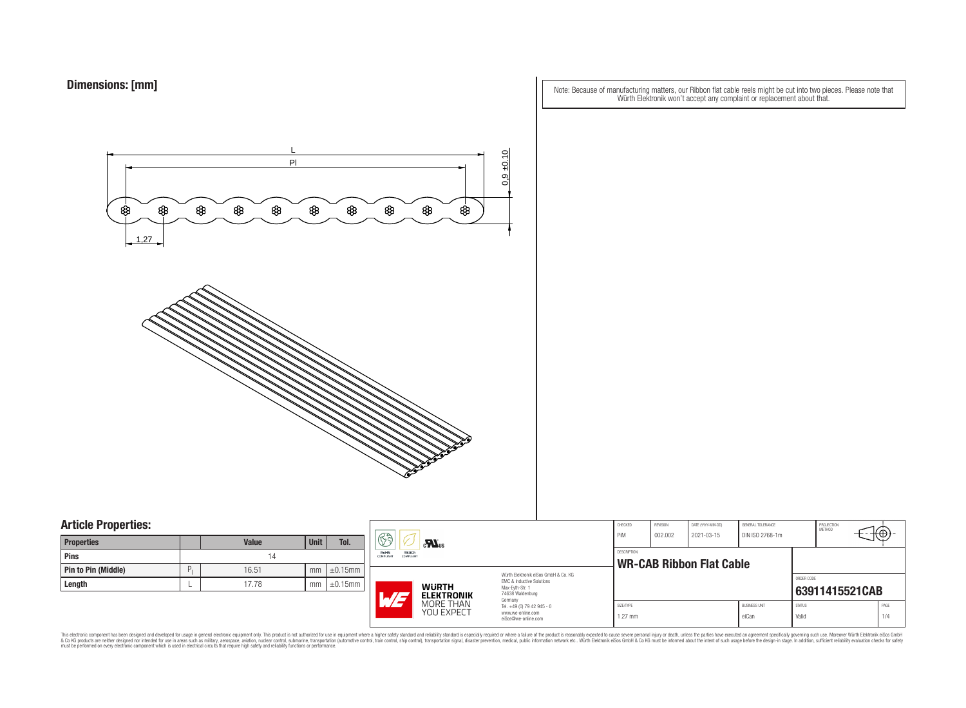Note: Because of manufacturing matters, our Ribbon flat cable reels might be cut into two pieces. Please note that Würth Elektronik won't accept any complaint or replacement about that.



### **Article Properties:**

| <b>Properties</b>   |   | <b>Value</b> | <b>Unit</b> | Tol.          |
|---------------------|---|--------------|-------------|---------------|
| <b>Pins</b>         |   | 14           |             |               |
| Pin to Pin (Middle) | P | 16.51        | mm          | $\pm 0.15$ mm |
| Length              |   | 17.78        | mm          | $\pm 0.15$ mm |

|    | ßð<br>$\mathbf{M}$ us                                        |                                                                                                                          |                                                                   | CHECKED<br>PiM                                        | REVISION<br>002.002 | DATE (YYYY-MM-DD)<br>2021-03-15 | GENERAL TOLERANCE<br>DIN ISO 2768-1m |                | PROJECTION<br><b>METHOD</b> |  |
|----|--------------------------------------------------------------|--------------------------------------------------------------------------------------------------------------------------|-------------------------------------------------------------------|-------------------------------------------------------|---------------------|---------------------------------|--------------------------------------|----------------|-----------------------------|--|
| mm | RoHS<br><b>REACh</b><br><b>COMPLIANT</b><br><b>COMPLIANT</b> |                                                                                                                          | Würth Elektronik eiSos GmbH & Co. KG<br>EMC & Inductive Solutions | <b>DESCRIPTION</b><br><b>WR-CAB Ribbon Flat Cable</b> |                     |                                 |                                      | ORDER CODE     |                             |  |
| mm | <b>WURTH</b><br><b>ELEKTRONIK</b><br>MORE THAN<br>YOU EXPECT | Max-Eyth-Str. 1<br>74638 Waldenburg<br>Germany<br>Tel. +49 (0) 79 42 945 - 0<br>www.we-online.com<br>eiSos@we-online.com |                                                                   |                                                       |                     |                                 |                                      | 63911415521CAB |                             |  |
|    |                                                              |                                                                                                                          | SIZE/TYPE<br>$1.27$ mm                                            |                                                       |                     | <b>BUSINESS UNIT</b><br>eiCan   | <b>STATUS</b><br>Valid               |                | PAGE<br>1/4                 |  |

This electronic component has been designed and developed for usage in general electronic equipment only. This product is not authorized for subserved requipment where a higher selection equipment where a higher selection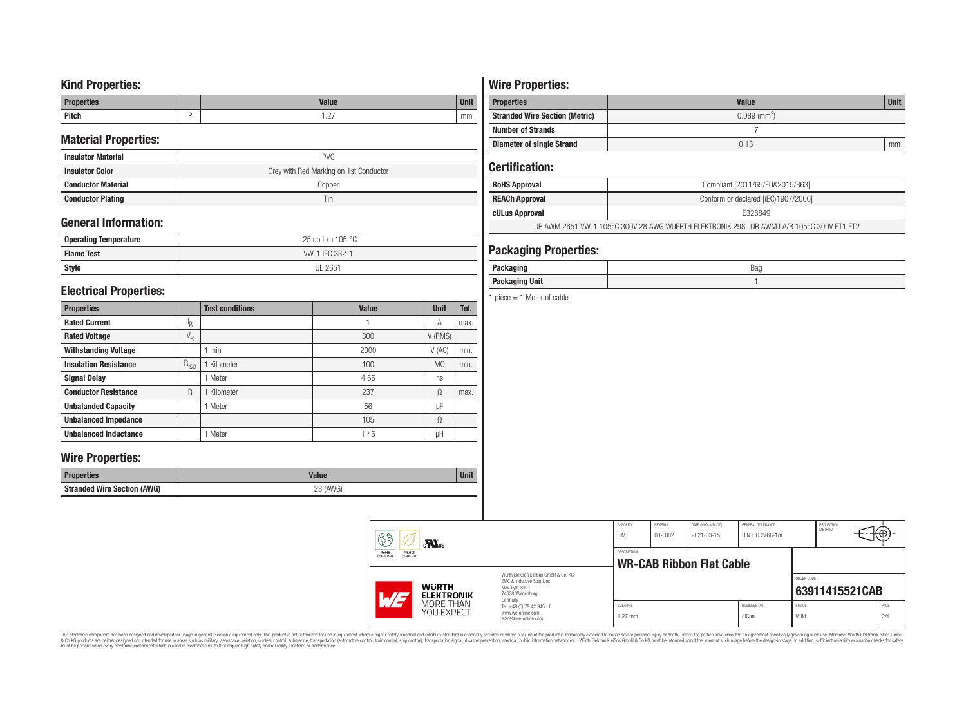### **Kind Properties:**

| <b>Properties</b> | <b>Value</b>                     | <b>Unit</b> |
|-------------------|----------------------------------|-------------|
| <b>Pitch</b>      | $\sim$<br>$\cdot$ $\sim$ $\cdot$ | mm          |

### **Material Properties:**

| <b>Insulator Material</b> | <b>PVC</b>                             |
|---------------------------|----------------------------------------|
| <b>Insulator Color</b>    | Grey with Red Marking on 1st Conductor |
| <b>Conductor Material</b> | Copper                                 |
| <b>Conductor Plating</b>  | Tin                                    |

## **General Information:**

| Operating Temperature | $-25$ up to $+105$ °C |
|-----------------------|-----------------------|
| <b>Flame Test</b>     | W-1 IEC 332-1         |
| <b>Style</b>          | <b>UL 2651</b>        |

### **Electrical Properties:**

| <b>Properties</b>            |                           | <b>Test conditions</b> | <b>Value</b> | <b>Unit</b>    | Tol. |
|------------------------------|---------------------------|------------------------|--------------|----------------|------|
| <b>Rated Current</b>         | ΙŖ.                       |                        |              | Α              | max. |
| <b>Rated Voltage</b>         | $\mathrm{V}_{\mathrm{R}}$ |                        | 300          | V (RMS)        |      |
| <b>Withstanding Voltage</b>  |                           | min                    | 2000         | V(AC)          | min. |
| <b>Insulation Resistance</b> | $R_{ISO}$                 | Kilometer              | 100          | M <sub>0</sub> | min. |
| <b>Signal Delay</b>          |                           | Meter                  | 4.65         | ns             |      |
| <b>Conductor Resistance</b>  | R                         | Kilometer              | 237          | Ω              | max. |
| <b>Unbalanded Capacity</b>   |                           | Meter                  | 56           | pF             |      |
| <b>Unbalanced Impedance</b>  |                           |                        | 105          | Ω              |      |
| <b>Unbalanced Inductance</b> |                           | Meter                  | 1.45         | μH             |      |

### **Wire Properties:**

| Properties                         | <b>Valut</b>   | Unit |
|------------------------------------|----------------|------|
| <b>Stranded Wire Section (AWG)</b> | 28 (AWG)<br>∠∪ |      |

# **Wire Properties:**

| <b>Properties</b>                     | <b>Value</b>               | <b>Unit</b> |  |  |  |
|---------------------------------------|----------------------------|-------------|--|--|--|
| <b>Stranded Wire Section (Metric)</b> | $0.089$ (mm <sup>2</sup> ) |             |  |  |  |
| <b>Number of Strands</b>              |                            |             |  |  |  |
| <b>Diameter of single Strand</b>      | 0.13                       | mm          |  |  |  |

# **Certification:**

| <b>RoHS Approval</b>                                                                      | Compliant [2011/65/EU&2015/863]     |  |  |  |
|-------------------------------------------------------------------------------------------|-------------------------------------|--|--|--|
| <b>REACh Approval</b>                                                                     | Conform or declared [(EC)1907/2006] |  |  |  |
| cULus Approval                                                                            | E328849                             |  |  |  |
| UR AWM 2651 VW-1 105°C 300V 28 AWG WUERTH ELEKTRONIK 298 cUR AWM I A/B 105°C 300V FT1 FT2 |                                     |  |  |  |

## **Packaging Properties:**

| <i>n</i> anina<br>rackayıny | Bag |
|-----------------------------|-----|
| <b>Packaging Unit</b>       |     |

1 piece  $= 1$  Meter of cable

|  | 63<br>$c$ <b>N</b> <sub>us</sub><br>REACh<br>RoHS<br>COMPLIANT<br>COMPLIANT    |                                                                        | CHECKED<br>PiM<br>DESCRIPTION                                                                                       | REVISION<br>002.002 | DATE (YYYY-MM-DD)<br>2021-03-15 | GENERAL TOLERANCE<br>DIN ISO 2768-1m |                        | PROJECTION<br>METHOD | ₩Φ∶            |  |
|--|--------------------------------------------------------------------------------|------------------------------------------------------------------------|---------------------------------------------------------------------------------------------------------------------|---------------------|---------------------------------|--------------------------------------|------------------------|----------------------|----------------|--|
|  |                                                                                |                                                                        | <b>WR-CAB Ribbon Flat Cable</b>                                                                                     |                     |                                 |                                      |                        |                      |                |  |
|  | <b>WURTH</b><br>$\overline{M}$<br><b>ELEKTRONIK</b><br>MORE THAN<br>YOU EXPECT |                                                                        | Würth Elektronik eiSos GmbH & Co. KG<br>EMC & Inductive Solutions<br>Max-Evth-Str. 1<br>74638 Waldenburg<br>Germany |                     |                                 |                                      |                        | ORDER CODE           | 63911415521CAB |  |
|  |                                                                                | Tel. +49 (0) 79 42 945 - 0<br>www.we-online.com<br>eiSos@we-online.com | SIZE/TYPE<br>$1.27$ mm                                                                                              |                     |                                 | <b>BUSINESS UNIT</b><br>eiCan        | <b>STATUS</b><br>Valid |                      | PAGE<br>2/4    |  |

This electronic component has been designed and developed for usage in general electronic equipment only. This product is not authorized for subserved requipment where a higher selection equipment where a higher selection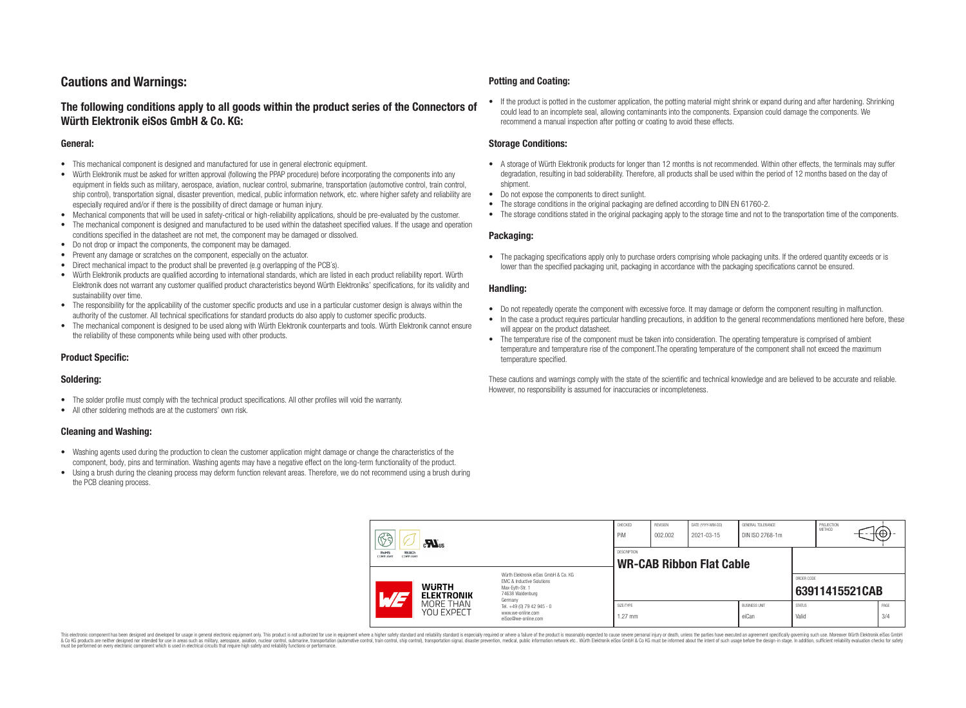## **Cautions and Warnings:**

### **The following conditions apply to all goods within the product series of the Connectors of Würth Elektronik eiSos GmbH & Co. KG:**

#### **General:**

- This mechanical component is designed and manufactured for use in general electronic equipment.
- Würth Elektronik must be asked for written approval (following the PPAP procedure) before incorporating the components into any equipment in fields such as military, aerospace, aviation, nuclear control, submarine, transportation (automotive control, train control, ship control), transportation signal, disaster prevention, medical, public information network, etc. where higher safety and reliability are especially required and/or if there is the possibility of direct damage or human injury.
- Mechanical components that will be used in safety-critical or high-reliability applications, should be pre-evaluated by the customer.
- The mechanical component is designed and manufactured to be used within the datasheet specified values. If the usage and operation conditions specified in the datasheet are not met, the component may be damaged or dissolved.
- Do not drop or impact the components, the component may be damaged.
- Prevent any damage or scratches on the component, especially on the actuator.
- Direct mechanical impact to the product shall be prevented (e.g overlapping of the PCB's).
- Würth Elektronik products are qualified according to international standards, which are listed in each product reliability report. Würth Elektronik does not warrant any customer qualified product characteristics beyond Würth Elektroniks' specifications, for its validity and sustainability over time.
- The responsibility for the applicability of the customer specific products and use in a particular customer design is always within the authority of the customer. All technical specifications for standard products do also apply to customer specific products.
- The mechanical component is designed to be used along with Würth Elektronik counterparts and tools. Würth Elektronik cannot ensure the reliability of these components while being used with other products.

#### **Product Specific:**

#### **Soldering:**

- The solder profile must comply with the technical product specifications. All other profiles will void the warranty.
- All other soldering methods are at the customers' own risk.

#### **Cleaning and Washing:**

- Washing agents used during the production to clean the customer application might damage or change the characteristics of the component, body, pins and termination. Washing agents may have a negative effect on the long-term functionality of the product.
- Using a brush during the cleaning process may deform function relevant areas. Therefore, we do not recommend using a brush during the PCB cleaning process.

#### **Potting and Coating:**

• If the product is potted in the customer application, the potting material might shrink or expand during and after hardening. Shrinking could lead to an incomplete seal, allowing contaminants into the components. Expansion could damage the components. We recommend a manual inspection after potting or coating to avoid these effects.

#### **Storage Conditions:**

- A storage of Würth Elektronik products for longer than 12 months is not recommended. Within other effects, the terminals may suffer degradation, resulting in bad solderability. Therefore, all products shall be used within the period of 12 months based on the day of shipment.
- Do not expose the components to direct sunlight.
- The storage conditions in the original packaging are defined according to DIN EN 61760-2.
- The storage conditions stated in the original packaging apply to the storage time and not to the transportation time of the components.

#### **Packaging:**

• The packaging specifications apply only to purchase orders comprising whole packaging units. If the ordered quantity exceeds or is lower than the specified packaging unit, packaging in accordance with the packaging specifications cannot be ensured.

#### **Handling:**

- Do not repeatedly operate the component with excessive force. It may damage or deform the component resulting in malfunction.
- In the case a product requires particular handling precautions, in addition to the general recommendations mentioned here before, these will appear on the product datasheet
- The temperature rise of the component must be taken into consideration. The operating temperature is comprised of ambient temperature and temperature rise of the component.The operating temperature of the component shall not exceed the maximum temperature specified.

These cautions and warnings comply with the state of the scientific and technical knowledge and are believed to be accurate and reliable. However, no responsibility is assumed for inaccuracies or incompleteness.

| 63<br>$\mathbf{M}_{\text{us}}$<br><b>RoHS</b><br><b>REACh</b><br><b>COMPLIANT</b><br>COMPLIANT |                                                                                                                                               | CHECKED<br>PiM                                        | <b>REVISION</b><br>002.002 | DATE (YYYY-MM-DD)<br>2021-03-15 | GENERAL TOLERANCE<br>DIN ISO 2768-1m |                        | PROJECTION<br><b>METHOD</b> |                | €⊕∶         |  |
|------------------------------------------------------------------------------------------------|-----------------------------------------------------------------------------------------------------------------------------------------------|-------------------------------------------------------|----------------------------|---------------------------------|--------------------------------------|------------------------|-----------------------------|----------------|-------------|--|
|                                                                                                |                                                                                                                                               | <b>DESCRIPTION</b><br><b>WR-CAB Ribbon Flat Cable</b> |                            |                                 |                                      |                        |                             |                |             |  |
| AT                                                                                             | Würth Flektronik eiSos GmbH & Co. KG<br>EMC & Inductive Solutions<br><b>WURTH</b><br>Max-Evth-Str. 1<br>74638 Waldenburg<br><b>ELEKTRONIK</b> |                                                       |                            |                                 |                                      |                        | ORDER CODE                  | 63911415521CAB |             |  |
| MORE THAN<br><b>YOU EXPECT</b>                                                                 | Germany<br>Tel. +49 (0) 79 42 945 - 0<br>www.we-online.com<br>eiSos@we-online.com                                                             | SIZE/TYPE<br>$1.27$ mm                                |                            |                                 | <b>BUSINESS UNIT</b><br>eiCan        | <b>STATUS</b><br>Valid |                             |                | PAGE<br>3/4 |  |

This electronic component has been designed and developed for usage in general electronic equipment only. This product is not authorized for use in equipment where a higher safety standard and reliability standard si espec & Ook product a label and the membed of the seasuch as marked and as which such a membed and the such assume that income in the seasuch and the simulation and the such assume that include to the such a membed and the such